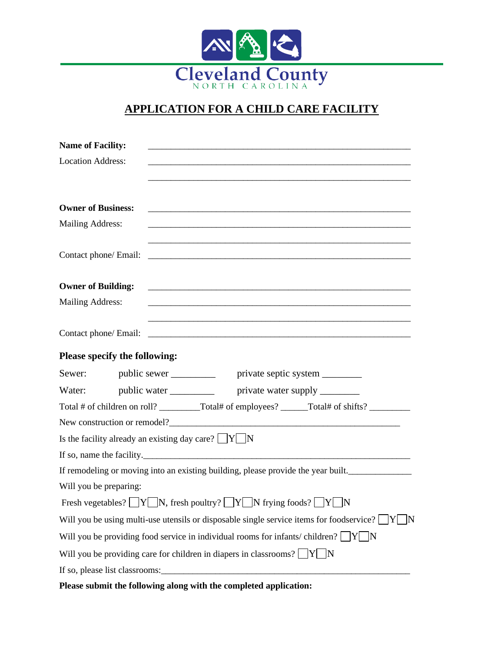

## **APPLICATION FOR A CHILD CARE FACILITY**

| <b>Name of Facility:</b><br><u> 1989 - Johann John Stone, markin film ar yn y brenin y brenin y brenin y brenin y brenin y brenin y brenin y</u>  |
|---------------------------------------------------------------------------------------------------------------------------------------------------|
| <b>Location Address:</b><br><u> 1989 - Johann Barn, amerikan bernama di sebagai bernama di sebagai bernama di sebagai bernama di sebagai bern</u> |
|                                                                                                                                                   |
| <b>Owner of Business:</b>                                                                                                                         |
| <b>Mailing Address:</b><br><u> 1989 - Johann Stoff, deutscher Stoff, der Stoff, der Stoff, der Stoff, der Stoff, der Stoff, der Stoff, der S</u>  |
| Contact phone/ Email:<br><u> Alexandro de la contrada de la contrada de la contrada de la contrada de la contrada de la contrada de la co</u>     |
| <b>Owner of Building:</b>                                                                                                                         |
| Mailing Address:<br><u> 1989 - Johann Stoff, deutscher Stoff, der Stoff, der Stoff, der Stoff, der Stoff, der Stoff, der Stoff, der S</u>         |
|                                                                                                                                                   |
| Please specify the following:                                                                                                                     |
| public sewer ______________ private septic system _________<br>Sewer:                                                                             |
| Water: public water ____________ private water supply ________                                                                                    |
| Total # of children on roll? ___________Total# of employees? ______Total# of shifts? ______________                                               |
|                                                                                                                                                   |
| Is the facility already an existing day care? $\sqrt{ Y } \sqrt{N}$                                                                               |
|                                                                                                                                                   |
| If remodeling or moving into an existing building, please provide the year built.                                                                 |
| Will you be preparing:                                                                                                                            |
| Fresh vegetables? $\Box Y \Box N$ , fresh poultry? $\Box Y \Box N$ frying foods? $\Box Y \Box N$                                                  |
| Will you be using multi-use utensils or disposable single service items for foodservice? $\boxed{Y}$ N                                            |
| Will you be providing food service in individual rooms for infants/children? $\Box$ Y $\Box$ N                                                    |
| Will you be providing care for children in diapers in classrooms? $\Box Y \Box N$                                                                 |
| If so, please list classrooms:                                                                                                                    |

**Please submit the following along with the completed application:**